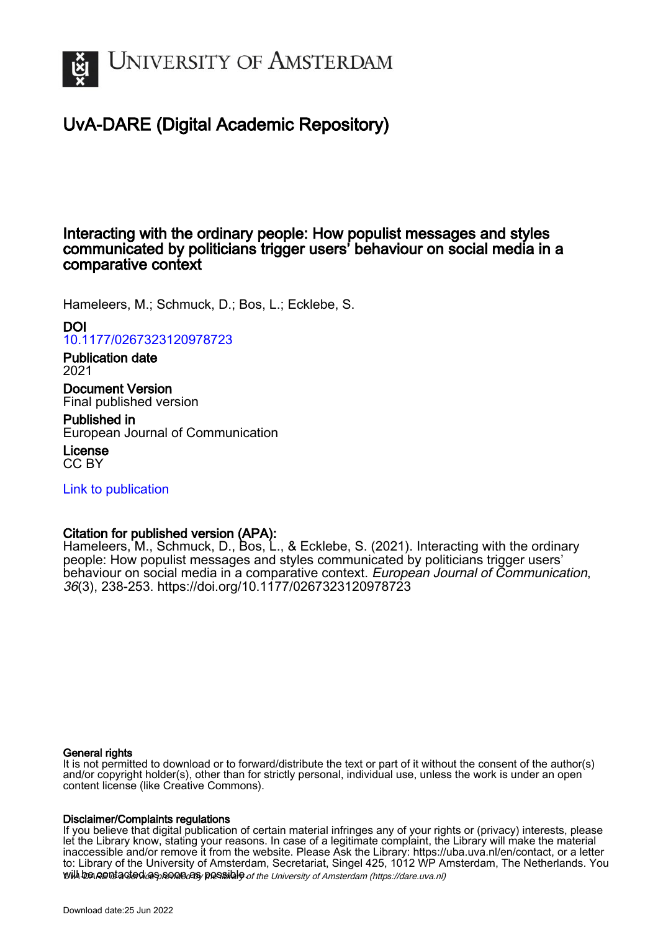

# UvA-DARE (Digital Academic Repository)

## Interacting with the ordinary people: How populist messages and styles communicated by politicians trigger users' behaviour on social media in a comparative context

Hameleers, M.; Schmuck, D.; Bos, L.; Ecklebe, S.

DOI [10.1177/0267323120978723](https://doi.org/10.1177/0267323120978723)

Publication date 2021

Document Version Final published version

Published in European Journal of Communication

License CC BY

[Link to publication](https://dare.uva.nl/personal/pure/en/publications/interacting-with-the-ordinary-people-how-populist-messages-and-styles-communicated-by-politicians-trigger-users-behaviour-on-social-media-in-a-comparative-context(045e239b-6582-4982-aa52-f71b7f16eb9a).html)

## Citation for published version (APA):

Hameleers, M., Schmuck, D., Bos, L., & Ecklebe, S. (2021). Interacting with the ordinary people: How populist messages and styles communicated by politicians trigger users' behaviour on social media in a comparative context. European Journal of Communication, 36(3), 238-253.<https://doi.org/10.1177/0267323120978723>

#### General rights

It is not permitted to download or to forward/distribute the text or part of it without the consent of the author(s) and/or copyright holder(s), other than for strictly personal, individual use, unless the work is under an open content license (like Creative Commons).

#### Disclaimer/Complaints regulations

will be contacted as sontacty pessible of the University of Amsterdam (https://dare.uva.nl) If you believe that digital publication of certain material infringes any of your rights or (privacy) interests, please let the Library know, stating your reasons. In case of a legitimate complaint, the Library will make the material inaccessible and/or remove it from the website. Please Ask the Library: https://uba.uva.nl/en/contact, or a letter to: Library of the University of Amsterdam, Secretariat, Singel 425, 1012 WP Amsterdam, The Netherlands. You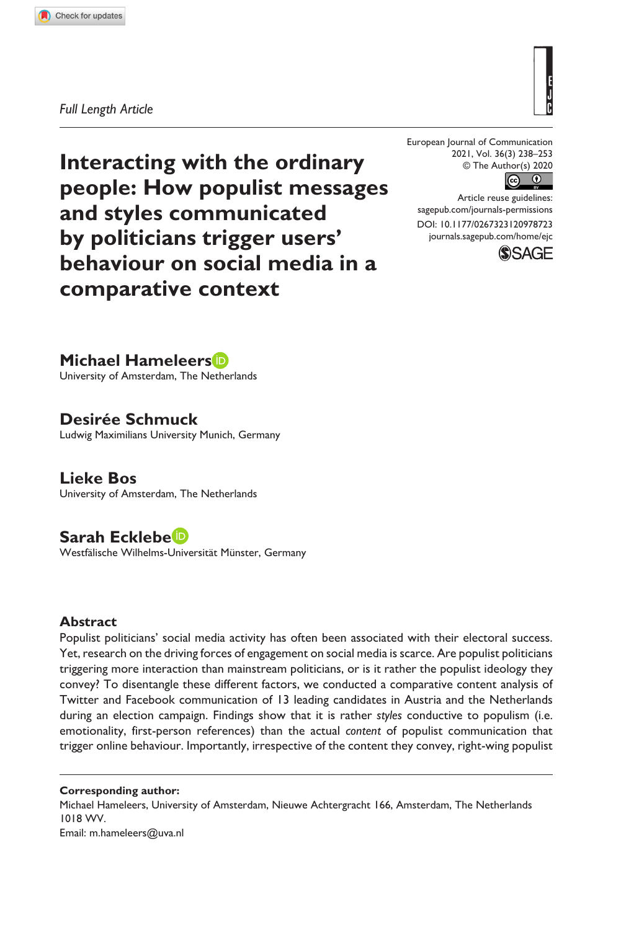**9787[23](http://crossmark.crossref.org/dialog/?doi=10.1177%2F0267323120978723&domain=pdf&date_stamp=2020-12-23)** EJC0010.1177/0267323120978723European Journal of Communication**Hameleers et al.**

#### *Full Length Article*

European Journal of Communication 2021, Vol. 36(3) 238–253 © The Author(s) 2020  $\odot$ 

DOI: 10.1177/0267323120978723 Article reuse guidelines: [sagepub.com/journals-permissions](https://uk.sagepub.com/en-gb/journals-permissions) [journals.sagepub.com/home/ejc](https://journals.sagepub.com/home/ejc)



**Interacting with the ordinary people: How populist messages and styles communicated by politicians trigger users' behaviour on social media in a comparative context**

## **Michael Hameleers**

University of Amsterdam, The Netherlands

## **Desirée Schmuck**

Ludwig Maximilians University Munich, Germany

**Lieke Bos** University of Amsterdam, The Netherlands

## **Sarah Ecklebe**

Westfälische Wilhelms-Universität Münster, Germany

#### **Abstract**

Populist politicians' social media activity has often been associated with their electoral success. Yet, research on the driving forces of engagement on social media is scarce. Are populist politicians triggering more interaction than mainstream politicians, or is it rather the populist ideology they convey? To disentangle these different factors, we conducted a comparative content analysis of Twitter and Facebook communication of 13 leading candidates in Austria and the Netherlands during an election campaign. Findings show that it is rather *styles* conductive to populism (i.e. emotionality, first-person references) than the actual *content* of populist communication that trigger online behaviour. Importantly, irrespective of the content they convey, right-wing populist

**Corresponding author:** Michael Hameleers, University of Amsterdam, Nieuwe Achtergracht 166, Amsterdam, The Netherlands 1018 WV. Email: [m.hameleers@uva.nl](mailto:m.hameleers@uva.nl)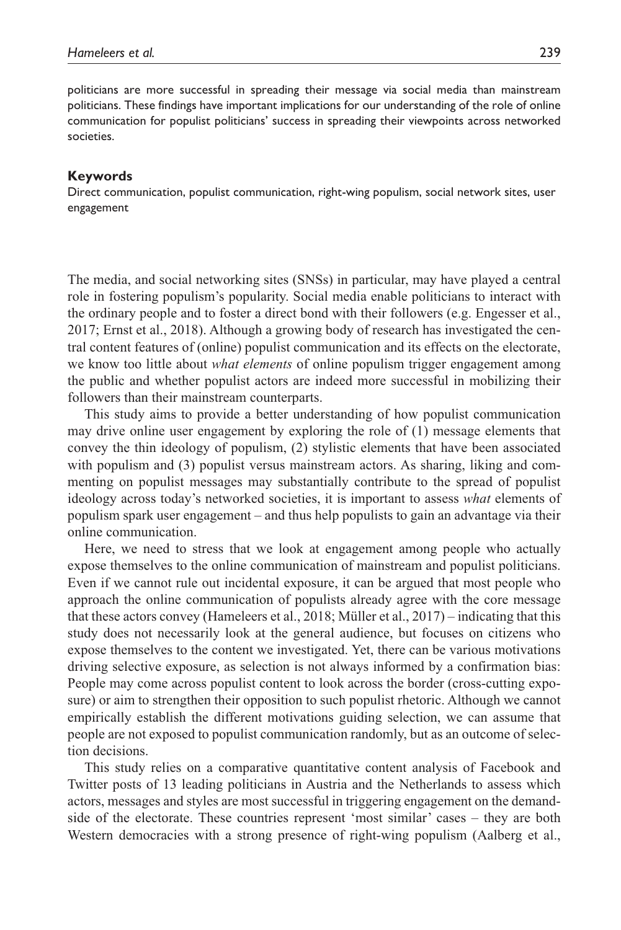politicians are more successful in spreading their message via social media than mainstream politicians. These findings have important implications for our understanding of the role of online communication for populist politicians' success in spreading their viewpoints across networked societies.

#### **Keywords**

Direct communication, populist communication, right-wing populism, social network sites, user engagement

The media, and social networking sites (SNSs) in particular, may have played a central role in fostering populism's popularity. Social media enable politicians to interact with the ordinary people and to foster a direct bond with their followers (e.g. Engesser et al., 2017; Ernst et al., 2018). Although a growing body of research has investigated the central content features of (online) populist communication and its effects on the electorate, we know too little about *what elements* of online populism trigger engagement among the public and whether populist actors are indeed more successful in mobilizing their followers than their mainstream counterparts.

This study aims to provide a better understanding of how populist communication may drive online user engagement by exploring the role of (1) message elements that convey the thin ideology of populism, (2) stylistic elements that have been associated with populism and (3) populist versus mainstream actors. As sharing, liking and commenting on populist messages may substantially contribute to the spread of populist ideology across today's networked societies, it is important to assess *what* elements of populism spark user engagement – and thus help populists to gain an advantage via their online communication.

Here, we need to stress that we look at engagement among people who actually expose themselves to the online communication of mainstream and populist politicians. Even if we cannot rule out incidental exposure, it can be argued that most people who approach the online communication of populists already agree with the core message that these actors convey (Hameleers et al., 2018; Müller et al., 2017) – indicating that this study does not necessarily look at the general audience, but focuses on citizens who expose themselves to the content we investigated. Yet, there can be various motivations driving selective exposure, as selection is not always informed by a confirmation bias: People may come across populist content to look across the border (cross-cutting exposure) or aim to strengthen their opposition to such populist rhetoric. Although we cannot empirically establish the different motivations guiding selection, we can assume that people are not exposed to populist communication randomly, but as an outcome of selection decisions.

This study relies on a comparative quantitative content analysis of Facebook and Twitter posts of 13 leading politicians in Austria and the Netherlands to assess which actors, messages and styles are most successful in triggering engagement on the demandside of the electorate. These countries represent 'most similar' cases – they are both Western democracies with a strong presence of right-wing populism (Aalberg et al.,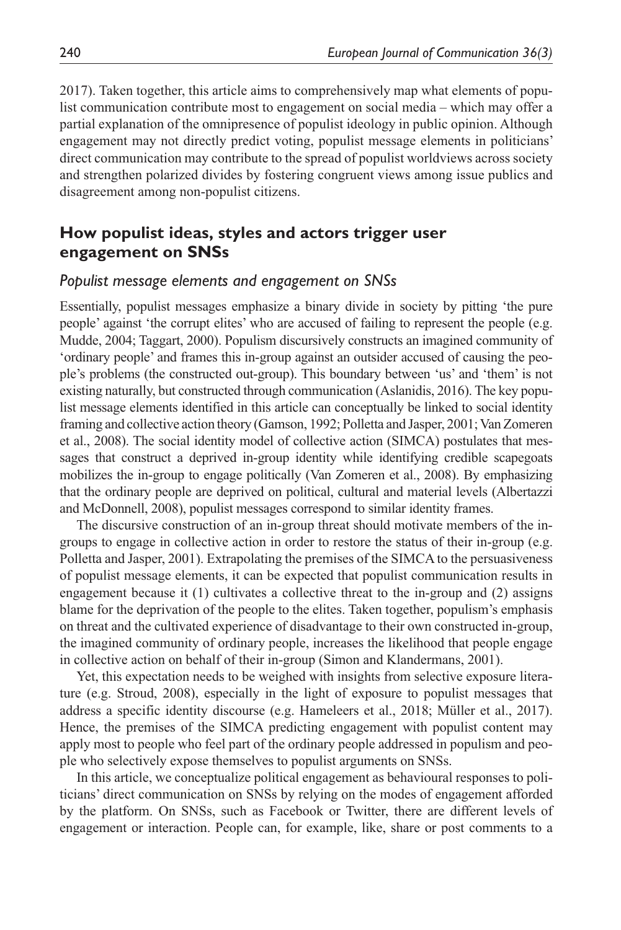2017). Taken together, this article aims to comprehensively map what elements of populist communication contribute most to engagement on social media – which may offer a partial explanation of the omnipresence of populist ideology in public opinion. Although engagement may not directly predict voting, populist message elements in politicians' direct communication may contribute to the spread of populist worldviews across society and strengthen polarized divides by fostering congruent views among issue publics and disagreement among non-populist citizens.

## **How populist ideas, styles and actors trigger user engagement on SNSs**

#### *Populist message elements and engagement on SNSs*

Essentially, populist messages emphasize a binary divide in society by pitting 'the pure people' against 'the corrupt elites' who are accused of failing to represent the people (e.g. Mudde, 2004; Taggart, 2000). Populism discursively constructs an imagined community of 'ordinary people' and frames this in-group against an outsider accused of causing the people's problems (the constructed out-group). This boundary between 'us' and 'them' is not existing naturally, but constructed through communication (Aslanidis, 2016). The key populist message elements identified in this article can conceptually be linked to social identity framing and collective action theory (Gamson, 1992; Polletta and Jasper, 2001; Van Zomeren et al., 2008). The social identity model of collective action (SIMCA) postulates that messages that construct a deprived in-group identity while identifying credible scapegoats mobilizes the in-group to engage politically (Van Zomeren et al., 2008). By emphasizing that the ordinary people are deprived on political, cultural and material levels (Albertazzi and McDonnell, 2008), populist messages correspond to similar identity frames.

The discursive construction of an in-group threat should motivate members of the ingroups to engage in collective action in order to restore the status of their in-group (e.g. Polletta and Jasper, 2001). Extrapolating the premises of the SIMCA to the persuasiveness of populist message elements, it can be expected that populist communication results in engagement because it (1) cultivates a collective threat to the in-group and (2) assigns blame for the deprivation of the people to the elites. Taken together, populism's emphasis on threat and the cultivated experience of disadvantage to their own constructed in-group, the imagined community of ordinary people, increases the likelihood that people engage in collective action on behalf of their in-group (Simon and Klandermans, 2001).

Yet, this expectation needs to be weighed with insights from selective exposure literature (e.g. Stroud, 2008), especially in the light of exposure to populist messages that address a specific identity discourse (e.g. Hameleers et al., 2018; Müller et al., 2017). Hence, the premises of the SIMCA predicting engagement with populist content may apply most to people who feel part of the ordinary people addressed in populism and people who selectively expose themselves to populist arguments on SNSs.

In this article, we conceptualize political engagement as behavioural responses to politicians' direct communication on SNSs by relying on the modes of engagement afforded by the platform. On SNSs, such as Facebook or Twitter, there are different levels of engagement or interaction. People can, for example, like, share or post comments to a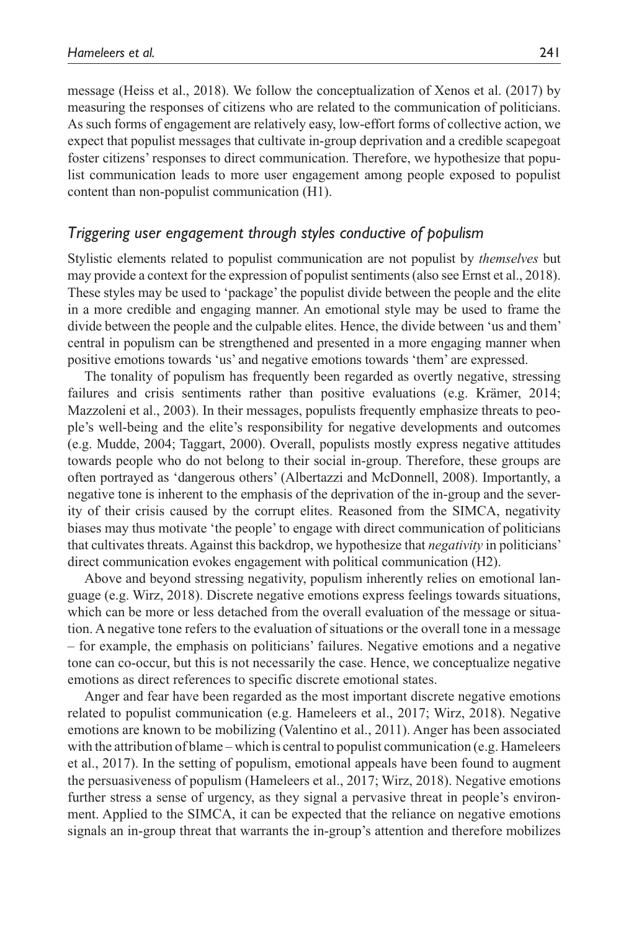message (Heiss et al., 2018). We follow the conceptualization of Xenos et al. (2017) by measuring the responses of citizens who are related to the communication of politicians. As such forms of engagement are relatively easy, low-effort forms of collective action, we expect that populist messages that cultivate in-group deprivation and a credible scapegoat foster citizens' responses to direct communication. Therefore, we hypothesize that populist communication leads to more user engagement among people exposed to populist content than non-populist communication (H1).

#### *Triggering user engagement through styles conductive of populism*

Stylistic elements related to populist communication are not populist by *themselves* but may provide a context for the expression of populist sentiments (also see Ernst et al., 2018). These styles may be used to 'package' the populist divide between the people and the elite in a more credible and engaging manner. An emotional style may be used to frame the divide between the people and the culpable elites. Hence, the divide between 'us and them' central in populism can be strengthened and presented in a more engaging manner when positive emotions towards 'us' and negative emotions towards 'them' are expressed.

The tonality of populism has frequently been regarded as overtly negative, stressing failures and crisis sentiments rather than positive evaluations (e.g. Krämer, 2014; Mazzoleni et al., 2003). In their messages, populists frequently emphasize threats to people's well-being and the elite's responsibility for negative developments and outcomes (e.g. Mudde, 2004; Taggart, 2000). Overall, populists mostly express negative attitudes towards people who do not belong to their social in-group. Therefore, these groups are often portrayed as 'dangerous others' (Albertazzi and McDonnell, 2008). Importantly, a negative tone is inherent to the emphasis of the deprivation of the in-group and the severity of their crisis caused by the corrupt elites. Reasoned from the SIMCA, negativity biases may thus motivate 'the people' to engage with direct communication of politicians that cultivates threats. Against this backdrop, we hypothesize that *negativity* in politicians' direct communication evokes engagement with political communication (H2).

Above and beyond stressing negativity, populism inherently relies on emotional language (e.g. Wirz, 2018). Discrete negative emotions express feelings towards situations, which can be more or less detached from the overall evaluation of the message or situation. A negative tone refers to the evaluation of situations or the overall tone in a message – for example, the emphasis on politicians' failures. Negative emotions and a negative tone can co-occur, but this is not necessarily the case. Hence, we conceptualize negative emotions as direct references to specific discrete emotional states.

Anger and fear have been regarded as the most important discrete negative emotions related to populist communication (e.g. Hameleers et al., 2017; Wirz, 2018). Negative emotions are known to be mobilizing (Valentino et al., 2011). Anger has been associated with the attribution of blame – which is central to populist communication (e.g. Hameleers et al., 2017). In the setting of populism, emotional appeals have been found to augment the persuasiveness of populism (Hameleers et al., 2017; Wirz, 2018). Negative emotions further stress a sense of urgency, as they signal a pervasive threat in people's environment. Applied to the SIMCA, it can be expected that the reliance on negative emotions signals an in-group threat that warrants the in-group's attention and therefore mobilizes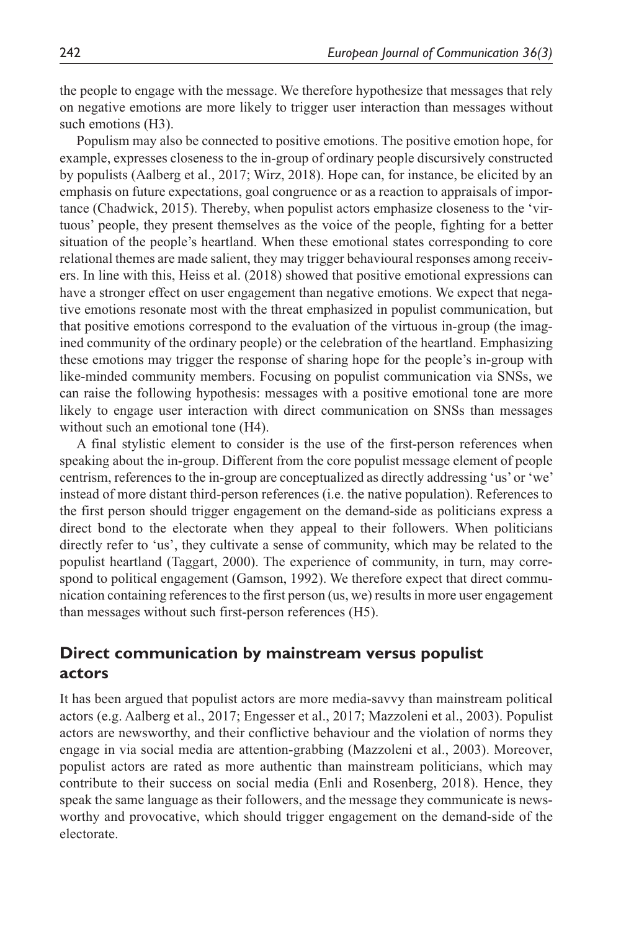the people to engage with the message. We therefore hypothesize that messages that rely on negative emotions are more likely to trigger user interaction than messages without such emotions (H3).

Populism may also be connected to positive emotions. The positive emotion hope, for example, expresses closeness to the in-group of ordinary people discursively constructed by populists (Aalberg et al., 2017; Wirz, 2018). Hope can, for instance, be elicited by an emphasis on future expectations, goal congruence or as a reaction to appraisals of importance (Chadwick, 2015). Thereby, when populist actors emphasize closeness to the 'virtuous' people, they present themselves as the voice of the people, fighting for a better situation of the people's heartland. When these emotional states corresponding to core relational themes are made salient, they may trigger behavioural responses among receivers. In line with this, Heiss et al. (2018) showed that positive emotional expressions can have a stronger effect on user engagement than negative emotions. We expect that negative emotions resonate most with the threat emphasized in populist communication, but that positive emotions correspond to the evaluation of the virtuous in-group (the imagined community of the ordinary people) or the celebration of the heartland. Emphasizing these emotions may trigger the response of sharing hope for the people's in-group with like-minded community members. Focusing on populist communication via SNSs, we can raise the following hypothesis: messages with a positive emotional tone are more likely to engage user interaction with direct communication on SNSs than messages without such an emotional tone (H4).

A final stylistic element to consider is the use of the first-person references when speaking about the in-group. Different from the core populist message element of people centrism, references to the in-group are conceptualized as directly addressing 'us' or 'we' instead of more distant third-person references (i.e. the native population). References to the first person should trigger engagement on the demand-side as politicians express a direct bond to the electorate when they appeal to their followers. When politicians directly refer to 'us', they cultivate a sense of community, which may be related to the populist heartland (Taggart, 2000). The experience of community, in turn, may correspond to political engagement (Gamson, 1992). We therefore expect that direct communication containing references to the first person (us, we) results in more user engagement than messages without such first-person references (H5).

## **Direct communication by mainstream versus populist actors**

It has been argued that populist actors are more media-savvy than mainstream political actors (e.g. Aalberg et al., 2017; Engesser et al., 2017; Mazzoleni et al., 2003). Populist actors are newsworthy, and their conflictive behaviour and the violation of norms they engage in via social media are attention-grabbing (Mazzoleni et al., 2003). Moreover, populist actors are rated as more authentic than mainstream politicians, which may contribute to their success on social media (Enli and Rosenberg, 2018). Hence, they speak the same language as their followers, and the message they communicate is newsworthy and provocative, which should trigger engagement on the demand-side of the electorate.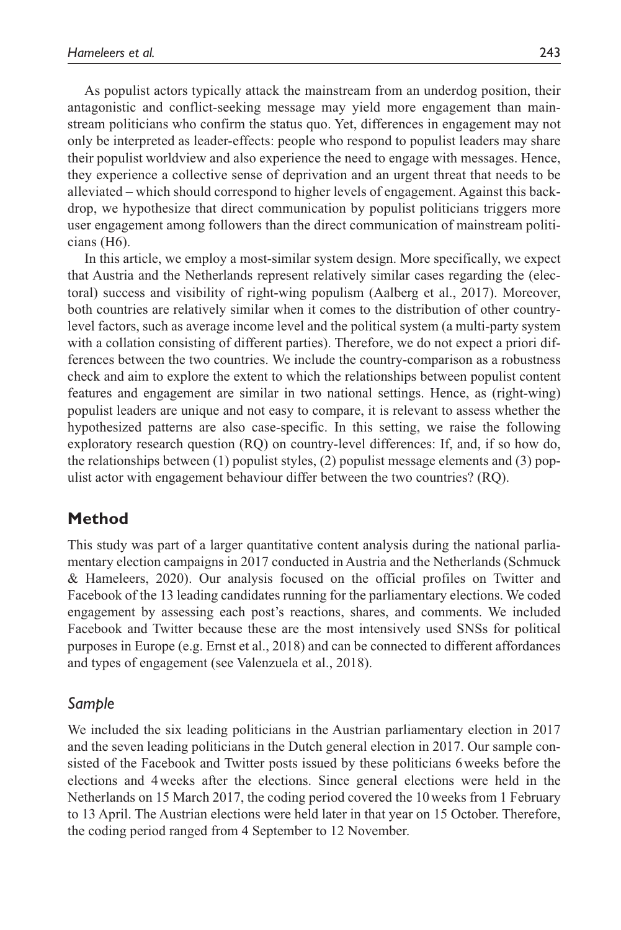As populist actors typically attack the mainstream from an underdog position, their antagonistic and conflict-seeking message may yield more engagement than mainstream politicians who confirm the status quo. Yet, differences in engagement may not only be interpreted as leader-effects: people who respond to populist leaders may share their populist worldview and also experience the need to engage with messages. Hence, they experience a collective sense of deprivation and an urgent threat that needs to be alleviated – which should correspond to higher levels of engagement. Against this backdrop, we hypothesize that direct communication by populist politicians triggers more user engagement among followers than the direct communication of mainstream politicians (H6).

In this article, we employ a most-similar system design. More specifically, we expect that Austria and the Netherlands represent relatively similar cases regarding the (electoral) success and visibility of right-wing populism (Aalberg et al., 2017). Moreover, both countries are relatively similar when it comes to the distribution of other countrylevel factors, such as average income level and the political system (a multi-party system with a collation consisting of different parties). Therefore, we do not expect a priori differences between the two countries. We include the country-comparison as a robustness check and aim to explore the extent to which the relationships between populist content features and engagement are similar in two national settings. Hence, as (right-wing) populist leaders are unique and not easy to compare, it is relevant to assess whether the hypothesized patterns are also case-specific. In this setting, we raise the following exploratory research question (RQ) on country-level differences: If, and, if so how do, the relationships between (1) populist styles, (2) populist message elements and (3) populist actor with engagement behaviour differ between the two countries? (RQ).

## **Method**

This study was part of a larger quantitative content analysis during the national parliamentary election campaigns in 2017 conducted in Austria and the Netherlands (Schmuck & Hameleers, 2020). Our analysis focused on the official profiles on Twitter and Facebook of the 13 leading candidates running for the parliamentary elections. We coded engagement by assessing each post's reactions, shares, and comments. We included Facebook and Twitter because these are the most intensively used SNSs for political purposes in Europe (e.g. Ernst et al., 2018) and can be connected to different affordances and types of engagement (see Valenzuela et al., 2018).

#### *Sample*

We included the six leading politicians in the Austrian parliamentary election in 2017 and the seven leading politicians in the Dutch general election in 2017. Our sample consisted of the Facebook and Twitter posts issued by these politicians 6weeks before the elections and 4weeks after the elections. Since general elections were held in the Netherlands on 15 March 2017, the coding period covered the 10weeks from 1 February to 13 April. The Austrian elections were held later in that year on 15 October. Therefore, the coding period ranged from 4 September to 12 November.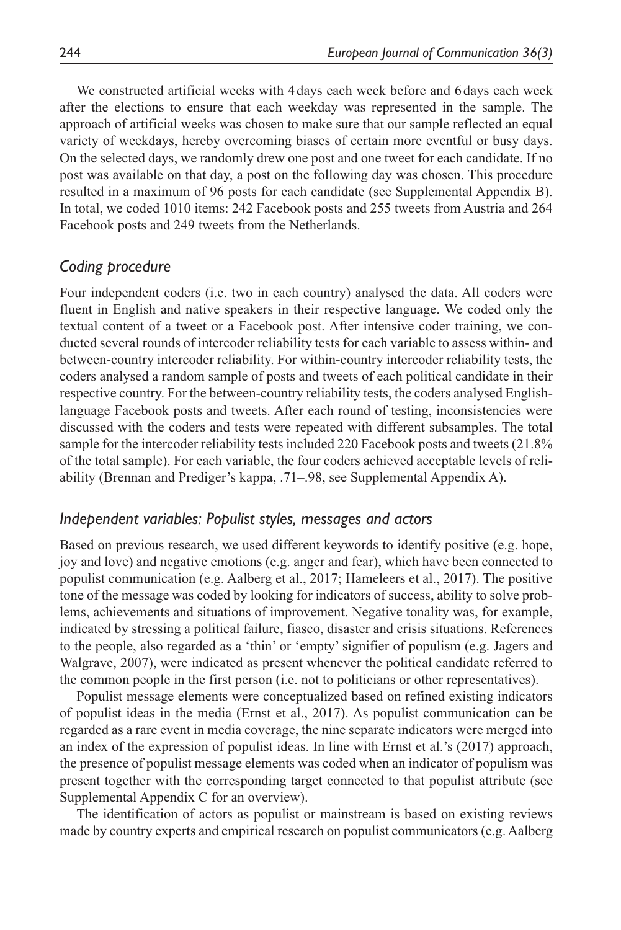We constructed artificial weeks with 4 days each week before and 6 days each week after the elections to ensure that each weekday was represented in the sample. The approach of artificial weeks was chosen to make sure that our sample reflected an equal variety of weekdays, hereby overcoming biases of certain more eventful or busy days. On the selected days, we randomly drew one post and one tweet for each candidate. If no post was available on that day, a post on the following day was chosen. This procedure resulted in a maximum of 96 posts for each candidate (see Supplemental Appendix B). In total, we coded 1010 items: 242 Facebook posts and 255 tweets from Austria and 264 Facebook posts and 249 tweets from the Netherlands.

#### *Coding procedure*

Four independent coders (i.e. two in each country) analysed the data. All coders were fluent in English and native speakers in their respective language. We coded only the textual content of a tweet or a Facebook post. After intensive coder training, we conducted several rounds of intercoder reliability tests for each variable to assess within- and between-country intercoder reliability. For within-country intercoder reliability tests, the coders analysed a random sample of posts and tweets of each political candidate in their respective country. For the between-country reliability tests, the coders analysed Englishlanguage Facebook posts and tweets. After each round of testing, inconsistencies were discussed with the coders and tests were repeated with different subsamples. The total sample for the intercoder reliability tests included 220 Facebook posts and tweets (21.8% of the total sample). For each variable, the four coders achieved acceptable levels of reliability (Brennan and Prediger's kappa, .71–.98, see Supplemental Appendix A).

#### *Independent variables: Populist styles, messages and actors*

Based on previous research, we used different keywords to identify positive (e.g. hope, joy and love) and negative emotions (e.g. anger and fear), which have been connected to populist communication (e.g. Aalberg et al., 2017; Hameleers et al., 2017). The positive tone of the message was coded by looking for indicators of success, ability to solve problems, achievements and situations of improvement. Negative tonality was, for example, indicated by stressing a political failure, fiasco, disaster and crisis situations. References to the people, also regarded as a 'thin' or 'empty' signifier of populism (e.g. Jagers and Walgrave, 2007), were indicated as present whenever the political candidate referred to the common people in the first person (i.e. not to politicians or other representatives).

Populist message elements were conceptualized based on refined existing indicators of populist ideas in the media (Ernst et al., 2017). As populist communication can be regarded as a rare event in media coverage, the nine separate indicators were merged into an index of the expression of populist ideas. In line with Ernst et al.'s (2017) approach, the presence of populist message elements was coded when an indicator of populism was present together with the corresponding target connected to that populist attribute (see Supplemental Appendix C for an overview).

The identification of actors as populist or mainstream is based on existing reviews made by country experts and empirical research on populist communicators (e.g. Aalberg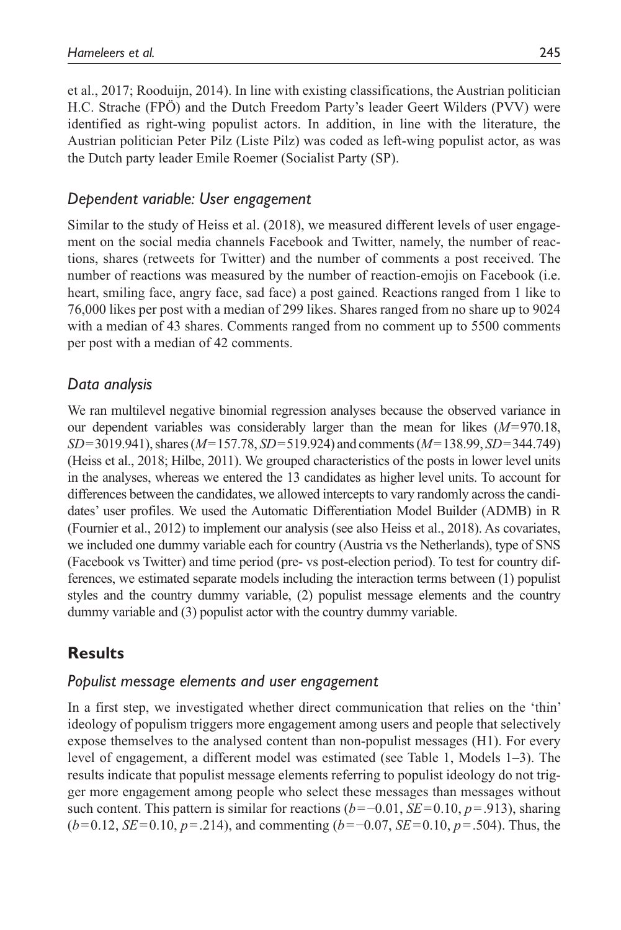et al., 2017; Rooduijn, 2014). In line with existing classifications, the Austrian politician H.C. Strache (FPÖ) and the Dutch Freedom Party's leader Geert Wilders (PVV) were identified as right-wing populist actors. In addition, in line with the literature, the Austrian politician Peter Pilz (Liste Pilz) was coded as left-wing populist actor, as was the Dutch party leader Emile Roemer (Socialist Party (SP).

### *Dependent variable: User engagement*

Similar to the study of Heiss et al. (2018), we measured different levels of user engagement on the social media channels Facebook and Twitter, namely, the number of reactions, shares (retweets for Twitter) and the number of comments a post received. The number of reactions was measured by the number of reaction-emojis on Facebook (i.e. heart, smiling face, angry face, sad face) a post gained. Reactions ranged from 1 like to 76,000 likes per post with a median of 299 likes. Shares ranged from no share up to 9024 with a median of 43 shares. Comments ranged from no comment up to 5500 comments per post with a median of 42 comments.

## *Data analysis*

We ran multilevel negative binomial regression analyses because the observed variance in our dependent variables was considerably larger than the mean for likes (*M*=970.18, *SD*=3019.941), shares (*M*=157.78, *SD*=519.924) and comments (*M*=138.99, *SD*=344.749) (Heiss et al., 2018; Hilbe, 2011). We grouped characteristics of the posts in lower level units in the analyses, whereas we entered the 13 candidates as higher level units. To account for differences between the candidates, we allowed intercepts to vary randomly across the candidates' user profiles. We used the Automatic Differentiation Model Builder (ADMB) in R (Fournier et al., 2012) to implement our analysis (see also Heiss et al., 2018). As covariates, we included one dummy variable each for country (Austria vs the Netherlands), type of SNS (Facebook vs Twitter) and time period (pre- vs post-election period). To test for country differences, we estimated separate models including the interaction terms between (1) populist styles and the country dummy variable, (2) populist message elements and the country dummy variable and (3) populist actor with the country dummy variable.

## **Results**

#### *Populist message elements and user engagement*

In a first step, we investigated whether direct communication that relies on the 'thin' ideology of populism triggers more engagement among users and people that selectively expose themselves to the analysed content than non-populist messages (H1). For every level of engagement, a different model was estimated (see Table 1, Models 1–3). The results indicate that populist message elements referring to populist ideology do not trigger more engagement among people who select these messages than messages without such content. This pattern is similar for reactions (*b*=−0.01, *SE*=0.10, *p*=.913), sharing (*b*=0.12, *SE*=0.10, *p*=.214), and commenting (*b*=−0.07, *SE*=0.10, *p*=.504). Thus, the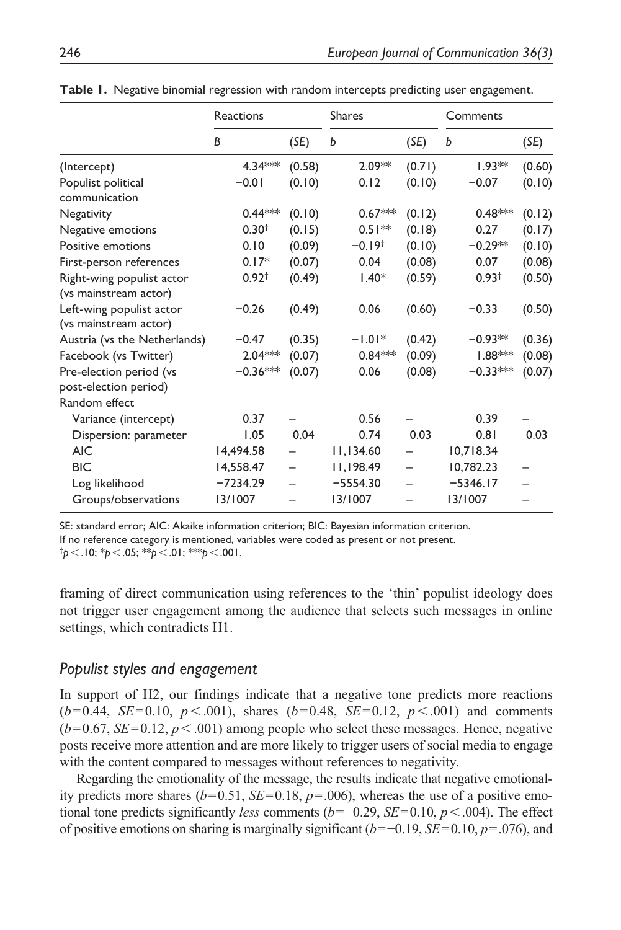|                              | Reactions         |        | <b>Shares</b>        |        | Comments          |        |
|------------------------------|-------------------|--------|----------------------|--------|-------------------|--------|
|                              | B                 | (SE)   | b                    | (SE)   | b                 | (SE)   |
| (Intercept)                  | 4.34***           | (0.58) | $2.09**$             | (0.71) | $1.93**$          | (0.60) |
| Populist political           | $-0.01$           | (0.10) | 0.12                 | (0.10) | $-0.07$           | (0.10) |
| communication                |                   |        |                      |        |                   |        |
| Negativity                   | $0.44***$         | (0.10) | $0.67***$            | (0.12) | $0.48***$         | (0.12) |
| Negative emotions            | 0.30 <sup>†</sup> | (0.15) | $0.51***$            | (0.18) | 0.27              | (0.17) |
| Positive emotions            | 0.10              | (0.09) | $-0.19$ <sup>†</sup> | (0.10) | $-0.29**$         | (0.10) |
| First-person references      | $0.17*$           | (0.07) | 0.04                 | (0.08) | 0.07              | (0.08) |
| Right-wing populist actor    | $0.92^+$          | (0.49) | $1.40*$              | (0.59) | 0.93 <sup>†</sup> | (0.50) |
| (vs mainstream actor)        |                   |        |                      |        |                   |        |
| Left-wing populist actor     | $-0.26$           | (0.49) | 0.06                 | (0.60) | $-0.33$           | (0.50) |
| (vs mainstream actor)        |                   |        |                      |        |                   |        |
| Austria (vs the Netherlands) | $-0.47$           | (0.35) | $-1.01*$             | (0.42) | $-0.93**$         | (0.36) |
| Facebook (vs Twitter)        | 2.04***           | (0.07) | $0.84***$            | (0.09) | $1.88***$         | (0.08) |
| Pre-election period (vs      | $-0.36***$        | (0.07) | 0.06                 | (0.08) | $-0.33***$        | (0.07) |
| post-election period)        |                   |        |                      |        |                   |        |
| Random effect                |                   |        |                      |        |                   |        |
| Variance (intercept)         | 0.37              |        | 0.56                 |        | 0.39              |        |
| Dispersion: parameter        | 1.05              | 0.04   | 0.74                 | 0.03   | 0.81              | 0.03   |
| <b>AIC</b>                   | 14,494.58         |        | 11,134.60            |        | 10,718.34         |        |
| <b>BIC</b>                   | 14,558.47         |        | 11,198.49            |        | 10,782.23         |        |
| Log likelihood               | $-7234.29$        |        | $-5554.30$           |        | $-5346.17$        |        |
| Groups/observations          | 13/1007           |        | 13/1007              |        | 13/1007           |        |

**Table 1.** Negative binomial regression with random intercepts predicting user engagement.

SE: standard error; AIC: Akaike information criterion; BIC: Bayesian information criterion. If no reference category is mentioned, variables were coded as present or not present. † *p*<.10; \**p*<.05; \*\**p*<.01; \*\*\**p*<.001.

framing of direct communication using references to the 'thin' populist ideology does not trigger user engagement among the audience that selects such messages in online

## *Populist styles and engagement*

settings, which contradicts H1.

In support of H2, our findings indicate that a negative tone predicts more reactions  $(b=0.44, SE=0.10, p<.001)$ , shares  $(b=0.48, SE=0.12, p<.001)$  and comments  $(b=0.67, SE=0.12, p<.001)$  among people who select these messages. Hence, negative posts receive more attention and are more likely to trigger users of social media to engage with the content compared to messages without references to negativity.

Regarding the emotionality of the message, the results indicate that negative emotionality predicts more shares ( $b=0.51$ ,  $SE=0.18$ ,  $p=.006$ ), whereas the use of a positive emotional tone predicts significantly *less* comments (*b*=−0.29, *SE*=0.10, *p*<.004). The effect of positive emotions on sharing is marginally significant (*b*=−0.19, *SE*=0.10, *p*=.076), and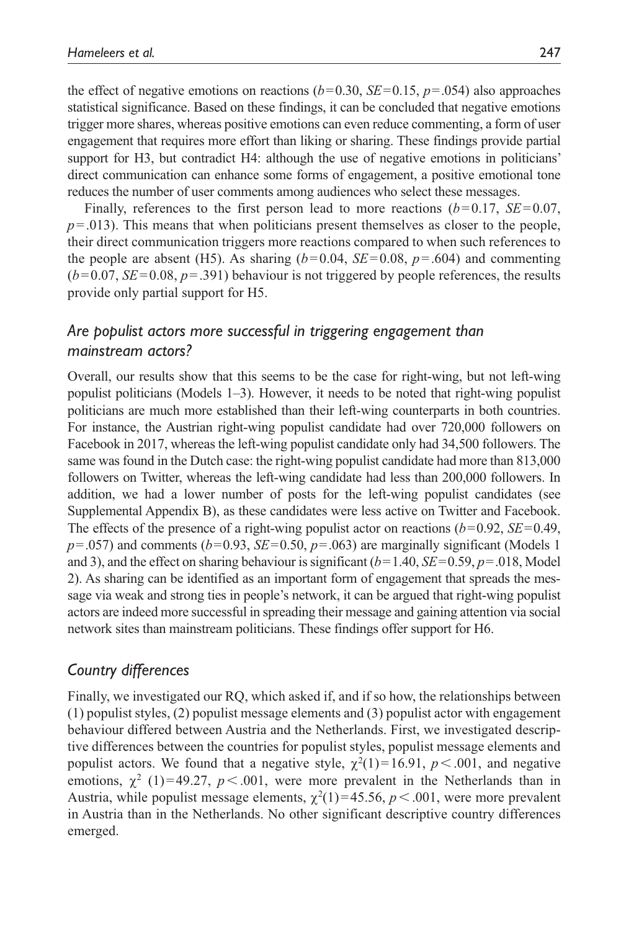the effect of negative emotions on reactions  $(b=0.30, SE=0.15, p=.054)$  also approaches statistical significance. Based on these findings, it can be concluded that negative emotions trigger more shares, whereas positive emotions can even reduce commenting, a form of user engagement that requires more effort than liking or sharing. These findings provide partial support for H3, but contradict H4: although the use of negative emotions in politicians' direct communication can enhance some forms of engagement, a positive emotional tone reduces the number of user comments among audiences who select these messages.

Finally, references to the first person lead to more reactions  $(b=0.17, SE=0.07,$ *p*=.013). This means that when politicians present themselves as closer to the people, their direct communication triggers more reactions compared to when such references to the people are absent (H5). As sharing  $(b=0.04, SE=0.08, p=.604)$  and commenting  $(b=0.07, SE=0.08, p=.391)$  behaviour is not triggered by people references, the results provide only partial support for H5.

## *Are populist actors more successful in triggering engagement than mainstream actors?*

Overall, our results show that this seems to be the case for right-wing, but not left-wing populist politicians (Models 1–3). However, it needs to be noted that right-wing populist politicians are much more established than their left-wing counterparts in both countries. For instance, the Austrian right-wing populist candidate had over 720,000 followers on Facebook in 2017, whereas the left-wing populist candidate only had 34,500 followers. The same was found in the Dutch case: the right-wing populist candidate had more than 813,000 followers on Twitter, whereas the left-wing candidate had less than 200,000 followers. In addition, we had a lower number of posts for the left-wing populist candidates (see Supplemental Appendix B), as these candidates were less active on Twitter and Facebook. The effects of the presence of a right-wing populist actor on reactions (*b*=0.92, *SE*=0.49,  $p = .057$ ) and comments ( $b = 0.93$ ,  $SE = 0.50$ ,  $p = .063$ ) are marginally significant (Models 1) and 3), and the effect on sharing behaviour is significant (*b*=1.40, *SE*=0.59, *p*=.018, Model 2). As sharing can be identified as an important form of engagement that spreads the message via weak and strong ties in people's network, it can be argued that right-wing populist actors are indeed more successful in spreading their message and gaining attention via social network sites than mainstream politicians. These findings offer support for H6.

## *Country differences*

Finally, we investigated our RQ, which asked if, and if so how, the relationships between (1) populist styles, (2) populist message elements and (3) populist actor with engagement behaviour differed between Austria and the Netherlands. First, we investigated descriptive differences between the countries for populist styles, populist message elements and populist actors. We found that a negative style,  $\chi^2(1) = 16.91$ ,  $p < .001$ , and negative emotions,  $\chi^2$  (1)=49.27, *p* < .001, were more prevalent in the Netherlands than in Austria, while populist message elements,  $\chi^2(1) = 45.56$ ,  $p < .001$ , were more prevalent in Austria than in the Netherlands. No other significant descriptive country differences emerged.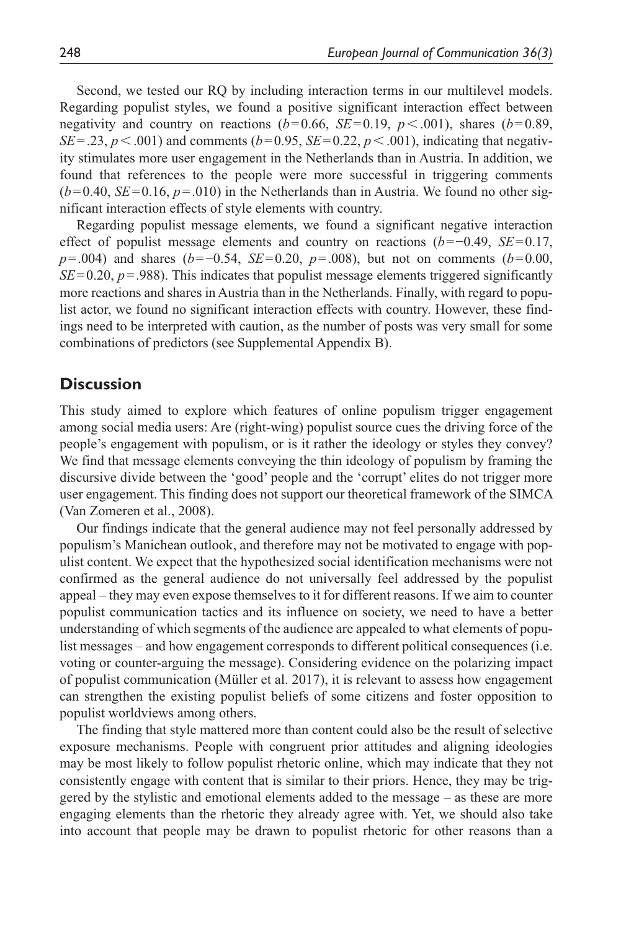Second, we tested our RQ by including interaction terms in our multilevel models. Regarding populist styles, we found a positive significant interaction effect between negativity and country on reactions  $(b=0.66, SE=0.19, p<.001)$ , shares  $(b=0.89,$ *SE* = .23, *p* < .001) and comments (*b*=0.95, *SE*=0.22, *p* < .001), indicating that negativity stimulates more user engagement in the Netherlands than in Austria. In addition, we found that references to the people were more successful in triggering comments  $(b=0.40, SE=0.16, p=.010)$  in the Netherlands than in Austria. We found no other significant interaction effects of style elements with country.

Regarding populist message elements, we found a significant negative interaction effect of populist message elements and country on reactions (*b*=−0.49, *SE*=0.17, *p*=.004) and shares (*b*=−0.54, *SE*=0.20, *p*=.008), but not on comments (*b*=0.00, *SE*=0.20, *p*=.988). This indicates that populist message elements triggered significantly more reactions and shares in Austria than in the Netherlands. Finally, with regard to populist actor, we found no significant interaction effects with country. However, these findings need to be interpreted with caution, as the number of posts was very small for some combinations of predictors (see Supplemental Appendix B).

#### **Discussion**

This study aimed to explore which features of online populism trigger engagement among social media users: Are (right-wing) populist source cues the driving force of the people's engagement with populism, or is it rather the ideology or styles they convey? We find that message elements conveying the thin ideology of populism by framing the discursive divide between the 'good' people and the 'corrupt' elites do not trigger more user engagement. This finding does not support our theoretical framework of the SIMCA (Van Zomeren et al., 2008).

Our findings indicate that the general audience may not feel personally addressed by populism's Manichean outlook, and therefore may not be motivated to engage with populist content. We expect that the hypothesized social identification mechanisms were not confirmed as the general audience do not universally feel addressed by the populist appeal – they may even expose themselves to it for different reasons. If we aim to counter populist communication tactics and its influence on society, we need to have a better understanding of which segments of the audience are appealed to what elements of populist messages – and how engagement corresponds to different political consequences (i.e. voting or counter-arguing the message). Considering evidence on the polarizing impact of populist communication (Müller et al. 2017), it is relevant to assess how engagement can strengthen the existing populist beliefs of some citizens and foster opposition to populist worldviews among others.

The finding that style mattered more than content could also be the result of selective exposure mechanisms. People with congruent prior attitudes and aligning ideologies may be most likely to follow populist rhetoric online, which may indicate that they not consistently engage with content that is similar to their priors. Hence, they may be triggered by the stylistic and emotional elements added to the message – as these are more engaging elements than the rhetoric they already agree with. Yet, we should also take into account that people may be drawn to populist rhetoric for other reasons than a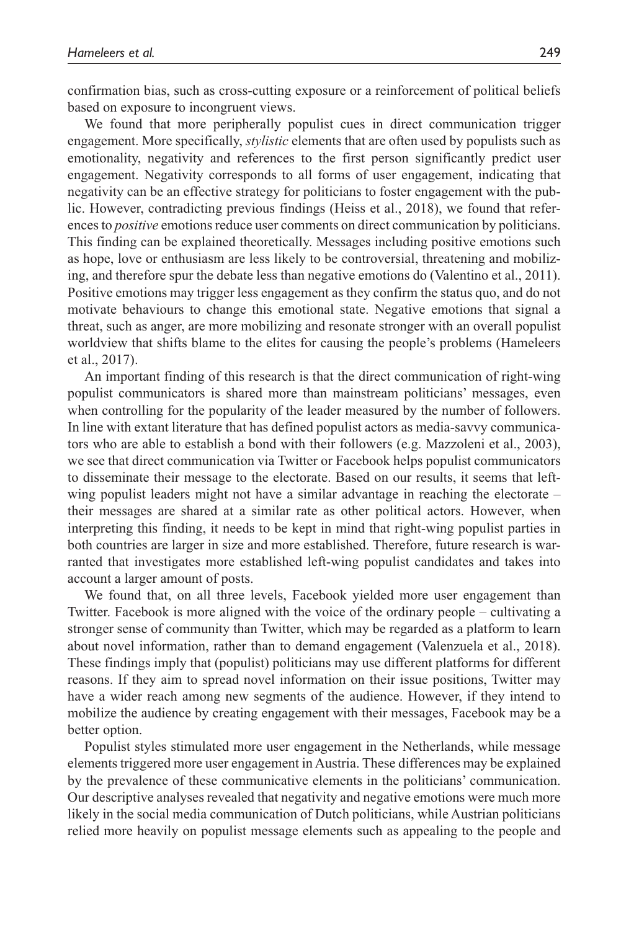confirmation bias, such as cross-cutting exposure or a reinforcement of political beliefs based on exposure to incongruent views.

We found that more peripherally populist cues in direct communication trigger engagement. More specifically, *stylistic* elements that are often used by populists such as emotionality, negativity and references to the first person significantly predict user engagement. Negativity corresponds to all forms of user engagement, indicating that negativity can be an effective strategy for politicians to foster engagement with the public. However, contradicting previous findings (Heiss et al., 2018), we found that references to *positive* emotions reduce user comments on direct communication by politicians. This finding can be explained theoretically. Messages including positive emotions such as hope, love or enthusiasm are less likely to be controversial, threatening and mobilizing, and therefore spur the debate less than negative emotions do (Valentino et al., 2011). Positive emotions may trigger less engagement as they confirm the status quo, and do not motivate behaviours to change this emotional state. Negative emotions that signal a threat, such as anger, are more mobilizing and resonate stronger with an overall populist worldview that shifts blame to the elites for causing the people's problems (Hameleers et al., 2017).

An important finding of this research is that the direct communication of right-wing populist communicators is shared more than mainstream politicians' messages, even when controlling for the popularity of the leader measured by the number of followers. In line with extant literature that has defined populist actors as media-savvy communicators who are able to establish a bond with their followers (e.g. Mazzoleni et al., 2003), we see that direct communication via Twitter or Facebook helps populist communicators to disseminate their message to the electorate. Based on our results, it seems that leftwing populist leaders might not have a similar advantage in reaching the electorate – their messages are shared at a similar rate as other political actors. However, when interpreting this finding, it needs to be kept in mind that right-wing populist parties in both countries are larger in size and more established. Therefore, future research is warranted that investigates more established left-wing populist candidates and takes into account a larger amount of posts.

We found that, on all three levels, Facebook yielded more user engagement than Twitter. Facebook is more aligned with the voice of the ordinary people – cultivating a stronger sense of community than Twitter, which may be regarded as a platform to learn about novel information, rather than to demand engagement (Valenzuela et al., 2018). These findings imply that (populist) politicians may use different platforms for different reasons. If they aim to spread novel information on their issue positions, Twitter may have a wider reach among new segments of the audience. However, if they intend to mobilize the audience by creating engagement with their messages, Facebook may be a better option.

Populist styles stimulated more user engagement in the Netherlands, while message elements triggered more user engagement in Austria. These differences may be explained by the prevalence of these communicative elements in the politicians' communication. Our descriptive analyses revealed that negativity and negative emotions were much more likely in the social media communication of Dutch politicians, while Austrian politicians relied more heavily on populist message elements such as appealing to the people and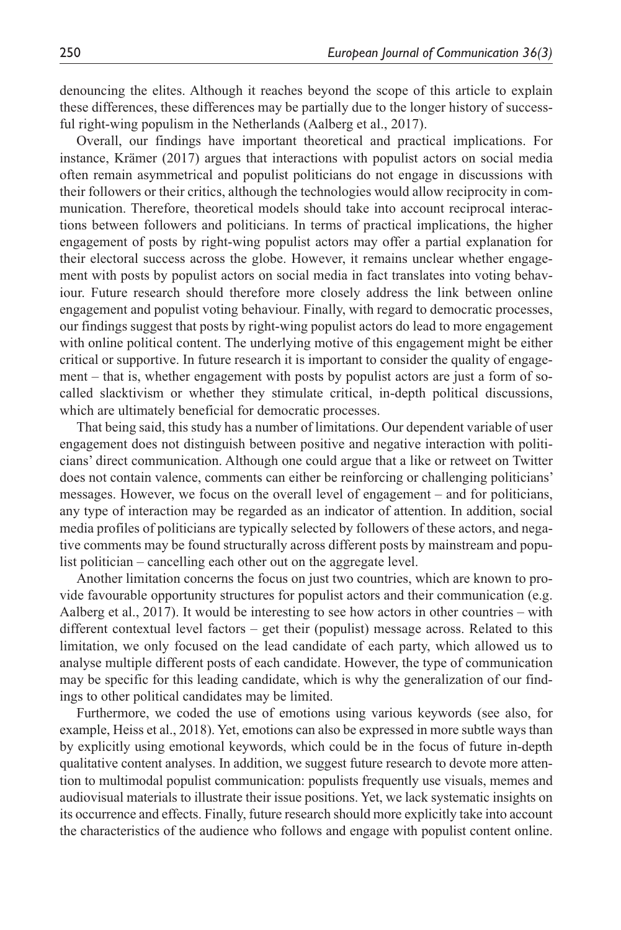denouncing the elites. Although it reaches beyond the scope of this article to explain these differences, these differences may be partially due to the longer history of successful right-wing populism in the Netherlands (Aalberg et al., 2017).

Overall, our findings have important theoretical and practical implications. For instance, Krämer (2017) argues that interactions with populist actors on social media often remain asymmetrical and populist politicians do not engage in discussions with their followers or their critics, although the technologies would allow reciprocity in communication. Therefore, theoretical models should take into account reciprocal interactions between followers and politicians. In terms of practical implications, the higher engagement of posts by right-wing populist actors may offer a partial explanation for their electoral success across the globe. However, it remains unclear whether engagement with posts by populist actors on social media in fact translates into voting behaviour. Future research should therefore more closely address the link between online engagement and populist voting behaviour. Finally, with regard to democratic processes, our findings suggest that posts by right-wing populist actors do lead to more engagement with online political content. The underlying motive of this engagement might be either critical or supportive. In future research it is important to consider the quality of engagement – that is, whether engagement with posts by populist actors are just a form of socalled slacktivism or whether they stimulate critical, in-depth political discussions, which are ultimately beneficial for democratic processes.

That being said, this study has a number of limitations. Our dependent variable of user engagement does not distinguish between positive and negative interaction with politicians' direct communication. Although one could argue that a like or retweet on Twitter does not contain valence, comments can either be reinforcing or challenging politicians' messages. However, we focus on the overall level of engagement – and for politicians, any type of interaction may be regarded as an indicator of attention. In addition, social media profiles of politicians are typically selected by followers of these actors, and negative comments may be found structurally across different posts by mainstream and populist politician – cancelling each other out on the aggregate level.

Another limitation concerns the focus on just two countries, which are known to provide favourable opportunity structures for populist actors and their communication (e.g. Aalberg et al., 2017). It would be interesting to see how actors in other countries – with different contextual level factors – get their (populist) message across. Related to this limitation, we only focused on the lead candidate of each party, which allowed us to analyse multiple different posts of each candidate. However, the type of communication may be specific for this leading candidate, which is why the generalization of our findings to other political candidates may be limited.

Furthermore, we coded the use of emotions using various keywords (see also, for example, Heiss et al., 2018). Yet, emotions can also be expressed in more subtle ways than by explicitly using emotional keywords, which could be in the focus of future in-depth qualitative content analyses. In addition, we suggest future research to devote more attention to multimodal populist communication: populists frequently use visuals, memes and audiovisual materials to illustrate their issue positions. Yet, we lack systematic insights on its occurrence and effects. Finally, future research should more explicitly take into account the characteristics of the audience who follows and engage with populist content online.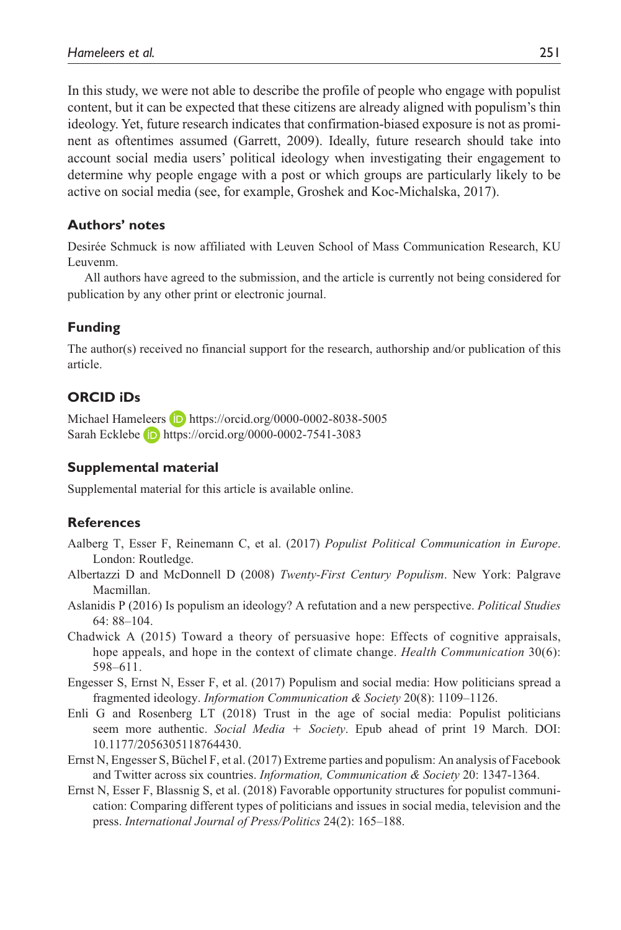In this study, we were not able to describe the profile of people who engage with populist content, but it can be expected that these citizens are already aligned with populism's thin ideology. Yet, future research indicates that confirmation-biased exposure is not as prominent as oftentimes assumed (Garrett, 2009). Ideally, future research should take into account social media users' political ideology when investigating their engagement to determine why people engage with a post or which groups are particularly likely to be active on social media (see, for example, Groshek and Koc-Michalska, 2017).

#### **Authors' notes**

Desirée Schmuck is now affiliated with Leuven School of Mass Communication Research, KU Leuvenm.

All authors have agreed to the submission, and the article is currently not being considered for publication by any other print or electronic journal.

#### **Funding**

The author(s) received no financial support for the research, authorship and/or publication of this article.

#### **ORCID iDs**

Michael Hameleers **b** <https://orcid.org/0000-0002-8038-5005> Sarah Ecklebe **iD** <https://orcid.org/0000-0002-7541-3083>

#### **Supplemental material**

Supplemental material for this article is available online.

#### **References**

- Aalberg T, Esser F, Reinemann C, et al. (2017) *Populist Political Communication in Europe*. London: Routledge.
- Albertazzi D and McDonnell D (2008) *Twenty-First Century Populism*. New York: Palgrave Macmillan.
- Aslanidis P (2016) Is populism an ideology? A refutation and a new perspective. *Political Studies* 64: 88–104.
- Chadwick A (2015) Toward a theory of persuasive hope: Effects of cognitive appraisals, hope appeals, and hope in the context of climate change. *Health Communication* 30(6): 598–611.
- Engesser S, Ernst N, Esser F, et al. (2017) Populism and social media: How politicians spread a fragmented ideology. *Information Communication & Society* 20(8): 1109–1126.
- Enli G and Rosenberg LT (2018) Trust in the age of social media: Populist politicians seem more authentic. *Social Media* + *Society*. Epub ahead of print 19 March. DOI: 10.1177/2056305118764430.
- Ernst N, Engesser S, Büchel F, et al. (2017) Extreme parties and populism: An analysis of Facebook and Twitter across six countries. *Information, Communication & Society* 20: 1347-1364.
- Ernst N, Esser F, Blassnig S, et al. (2018) Favorable opportunity structures for populist communication: Comparing different types of politicians and issues in social media, television and the press. *International Journal of Press/Politics* 24(2): 165–188.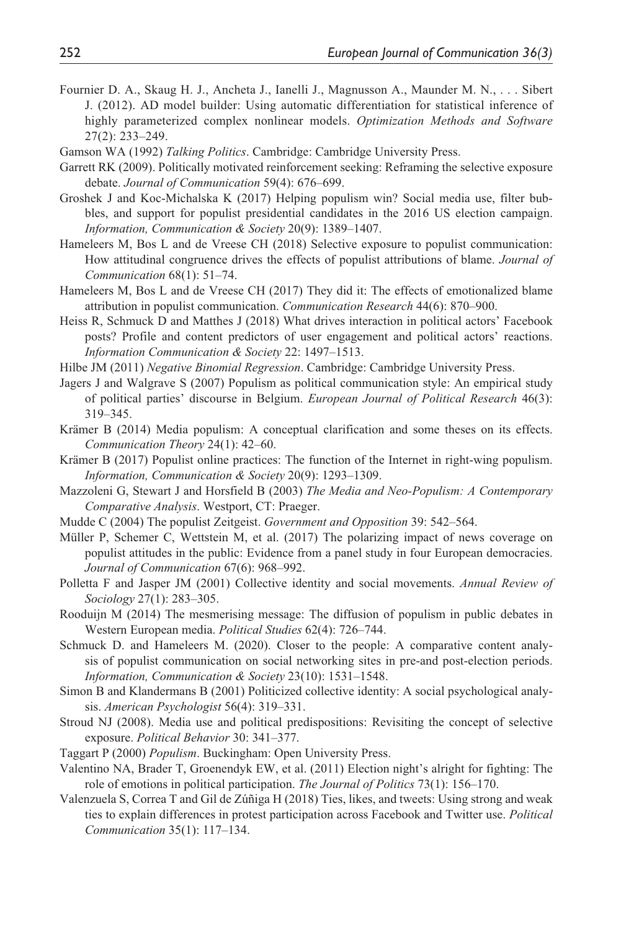- Fournier D. A., Skaug H. J., Ancheta J., Ianelli J., Magnusson A., Maunder M. N., . . . Sibert J. (2012). AD model builder: Using automatic differentiation for statistical inference of highly parameterized complex nonlinear models. *Optimization Methods and Software* 27(2): 233–249.
- Gamson WA (1992) *Talking Politics*. Cambridge: Cambridge University Press.
- Garrett RK (2009). Politically motivated reinforcement seeking: Reframing the selective exposure debate. *Journal of Communication* 59(4): 676–699.
- Groshek J and Koc-Michalska K (2017) Helping populism win? Social media use, filter bubbles, and support for populist presidential candidates in the 2016 US election campaign. *Information, Communication & Society* 20(9): 1389–1407.
- Hameleers M, Bos L and de Vreese CH (2018) Selective exposure to populist communication: How attitudinal congruence drives the effects of populist attributions of blame. *Journal of Communication* 68(1): 51–74.
- Hameleers M, Bos L and de Vreese CH (2017) They did it: The effects of emotionalized blame attribution in populist communication. *Communication Research* 44(6): 870–900.
- Heiss R, Schmuck D and Matthes J (2018) What drives interaction in political actors' Facebook posts? Profile and content predictors of user engagement and political actors' reactions. *Information Communication & Society* 22: 1497–1513.
- Hilbe JM (2011) *Negative Binomial Regression*. Cambridge: Cambridge University Press.
- Jagers J and Walgrave S (2007) Populism as political communication style: An empirical study of political parties' discourse in Belgium. *European Journal of Political Research* 46(3): 319–345.
- Krämer B (2014) Media populism: A conceptual clarification and some theses on its effects. *Communication Theory* 24(1): 42–60.
- Krämer B (2017) Populist online practices: The function of the Internet in right-wing populism. *Information, Communication & Society* 20(9): 1293–1309.
- Mazzoleni G, Stewart J and Horsfield B (2003) *The Media and Neo-Populism: A Contemporary Comparative Analysis*. Westport, CT: Praeger.
- Mudde C (2004) The populist Zeitgeist. *Government and Opposition* 39: 542–564.
- Müller P, Schemer C, Wettstein M, et al. (2017) The polarizing impact of news coverage on populist attitudes in the public: Evidence from a panel study in four European democracies. *Journal of Communication* 67(6): 968–992.
- Polletta F and Jasper JM (2001) Collective identity and social movements. *Annual Review of Sociology* 27(1): 283–305.
- Rooduijn M (2014) The mesmerising message: The diffusion of populism in public debates in Western European media. *Political Studies* 62(4): 726–744.
- Schmuck D. and Hameleers M. (2020). Closer to the people: A comparative content analysis of populist communication on social networking sites in pre-and post-election periods. *Information, Communication & Society* 23(10): 1531–1548.
- Simon B and Klandermans B (2001) Politicized collective identity: A social psychological analysis. *American Psychologist* 56(4): 319–331.
- Stroud NJ (2008). Media use and political predispositions: Revisiting the concept of selective exposure. *Political Behavior* 30: 341–377.
- Taggart P (2000) *Populism*. Buckingham: Open University Press.
- Valentino NA, Brader T, Groenendyk EW, et al. (2011) Election night's alright for fighting: The role of emotions in political participation. *The Journal of Politics* 73(1): 156–170.
- Valenzuela S, Correa T and Gil de Zúñiga H (2018) Ties, likes, and tweets: Using strong and weak ties to explain differences in protest participation across Facebook and Twitter use. *Political Communication* 35(1): 117–134.